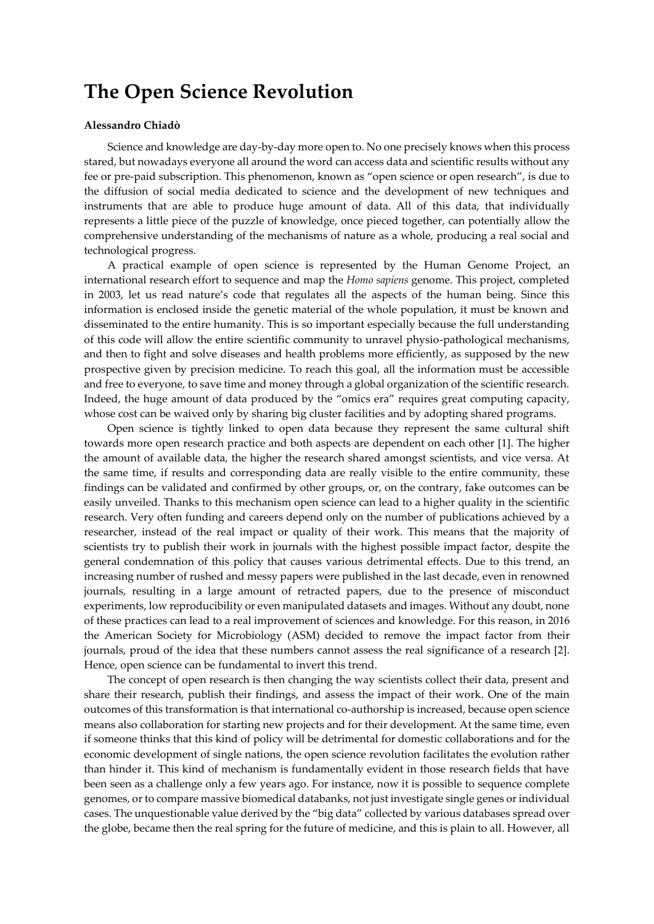## **The Open Science Revolution**

## **Alessandro Chiadò**

Science and knowledge are day-by-day more open to. No one precisely knows when this process stared, but nowadays everyone all around the word can access data and scientific results without any fee or pre-paid subscription. This phenomenon, known as "open science or open research", is due to the diffusion of social media dedicated to science and the development of new techniques and instruments that are able to produce huge amount of data. All of this data, that individually represents a little piece of the puzzle of knowledge, once pieced together, can potentially allow the comprehensive understanding of the mechanisms of nature as a whole, producing a real social and technological progress.

A practical example of open science is represented by the Human Genome Project, an international research effort to sequence and map the *Homo sapiens* genome. This project, completed in 2003, let us read nature's code that regulates all the aspects of the human being. Since this information is enclosed inside the genetic material of the whole population, it must be known and disseminated to the entire humanity. This is so important especially because the full understanding of this code will allow the entire scientific community to unravel physio-pathological mechanisms, and then to fight and solve diseases and health problems more efficiently, as supposed by the new prospective given by precision medicine. To reach this goal, all the information must be accessible and free to everyone, to save time and money through a global organization of the scientific research. Indeed, the huge amount of data produced by the "omics era" requires great computing capacity, whose cost can be waived only by sharing big cluster facilities and by adopting shared programs.

Open science is tightly linked to open data because they represent the same cultural shift towards more open research practice and both aspects are dependent on each other [1]. The higher the amount of available data, the higher the research shared amongst scientists, and vice versa. At the same time, if results and corresponding data are really visible to the entire community, these findings can be validated and confirmed by other groups, or, on the contrary, fake outcomes can be easily unveiled. Thanks to this mechanism open science can lead to a higher quality in the scientific research. Very often funding and careers depend only on the number of publications achieved by a researcher, instead of the real impact or quality of their work. This means that the majority of scientists try to publish their work in journals with the highest possible impact factor, despite the general condemnation of this policy that causes various detrimental effects. Due to this trend, an increasing number of rushed and messy papers were published in the last decade, even in renowned journals, resulting in a large amount of retracted papers, due to the presence of misconduct experiments, low reproducibility or even manipulated datasets and images. Without any doubt, none of these practices can lead to a real improvement of sciences and knowledge. For this reason, in 2016 the American Society for Microbiology (ASM) decided to remove the impact factor from their journals, proud of the idea that these numbers cannot assess the real significance of a research [2]. Hence, open science can be fundamental to invert this trend.

The concept of open research is then changing the way scientists collect their data, present and share their research, publish their findings, and assess the impact of their work. One of the main outcomes of this transformation is that international co-authorship is increased, because open science means also collaboration for starting new projects and for their development. At the same time, even if someone thinks that this kind of policy will be detrimental for domestic collaborations and for the economic development of single nations, the open science revolution facilitates the evolution rather than hinder it. This kind of mechanism is fundamentally evident in those research fields that have been seen as a challenge only a few years ago. For instance, now it is possible to sequence complete genomes, or to compare massive biomedical databanks, not just investigate single genes or individual cases. The unquestionable value derived by the "big data" collected by various databases spread over the globe, became then the real spring for the future of medicine, and this is plain to all. However, all